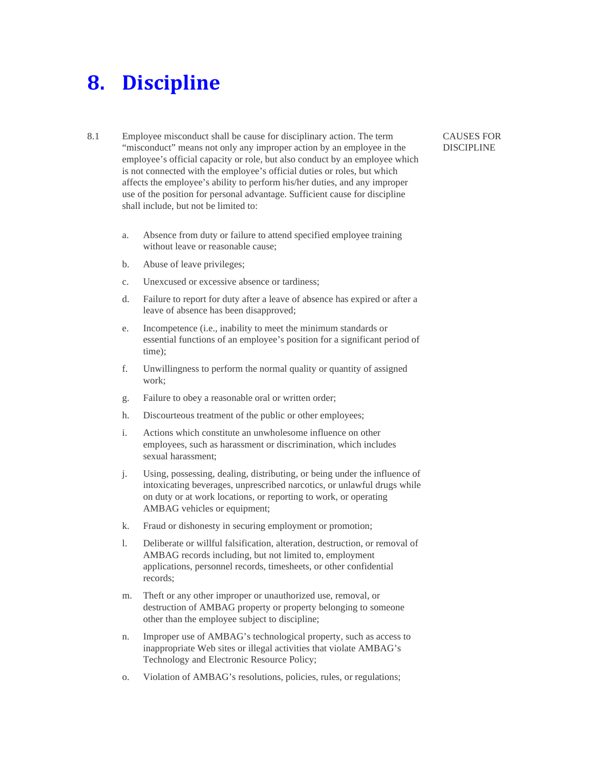## **8. Discipline**

- 8.1 Employee misconduct shall be cause for disciplinary action. The term "misconduct" means not only any improper action by an employee in the employee's official capacity or role, but also conduct by an employee which is not connected with the employee's official duties or roles, but which affects the employee's ability to perform his/her duties, and any improper use of the position for personal advantage. Sufficient cause for discipline shall include, but not be limited to:
	- a. Absence from duty or failure to attend specified employee training without leave or reasonable cause;
	- b. Abuse of leave privileges;
	- c. Unexcused or excessive absence or tardiness;
	- d. Failure to report for duty after a leave of absence has expired or after a leave of absence has been disapproved;
	- e. Incompetence (i.e., inability to meet the minimum standards or essential functions of an employee's position for a significant period of time);
	- f. Unwillingness to perform the normal quality or quantity of assigned work;
	- g. Failure to obey a reasonable oral or written order;
	- h. Discourteous treatment of the public or other employees;
	- i. Actions which constitute an unwholesome influence on other employees, such as harassment or discrimination, which includes sexual harassment;
	- j. Using, possessing, dealing, distributing, or being under the influence of intoxicating beverages, unprescribed narcotics, or unlawful drugs while on duty or at work locations, or reporting to work, or operating AMBAG vehicles or equipment;
	- k. Fraud or dishonesty in securing employment or promotion;
	- l. Deliberate or willful falsification, alteration, destruction, or removal of AMBAG records including, but not limited to, employment applications, personnel records, timesheets, or other confidential records;
	- m. Theft or any other improper or unauthorized use, removal, or destruction of AMBAG property or property belonging to someone other than the employee subject to discipline;
	- n. Improper use of AMBAG's technological property, such as access to inappropriate Web sites or illegal activities that violate AMBAG's Technology and Electronic Resource Policy;
	- o. Violation of AMBAG's resolutions, policies, rules, or regulations;

## CAUSES FOR DISCIPLINE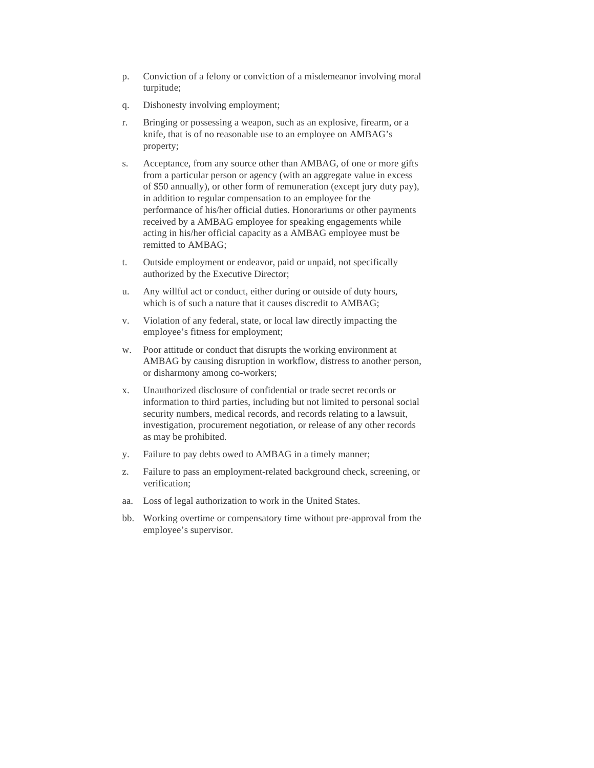- p. Conviction of a felony or conviction of a misdemeanor involving moral turpitude;
- q. Dishonesty involving employment;
- r. Bringing or possessing a weapon, such as an explosive, firearm, or a knife, that is of no reasonable use to an employee on AMBAG's property;
- s. Acceptance, from any source other than AMBAG, of one or more gifts from a particular person or agency (with an aggregate value in excess of \$50 annually), or other form of remuneration (except jury duty pay), in addition to regular compensation to an employee for the performance of his/her official duties. Honorariums or other payments received by a AMBAG employee for speaking engagements while acting in his/her official capacity as a AMBAG employee must be remitted to AMBAG;
- t. Outside employment or endeavor, paid or unpaid, not specifically authorized by the Executive Director;
- u. Any willful act or conduct, either during or outside of duty hours, which is of such a nature that it causes discredit to AMBAG;
- v. Violation of any federal, state, or local law directly impacting the employee's fitness for employment;
- w. Poor attitude or conduct that disrupts the working environment at AMBAG by causing disruption in workflow, distress to another person, or disharmony among co-workers;
- x. Unauthorized disclosure of confidential or trade secret records or information to third parties, including but not limited to personal social security numbers, medical records, and records relating to a lawsuit, investigation, procurement negotiation, or release of any other records as may be prohibited.
- y. Failure to pay debts owed to AMBAG in a timely manner;
- z. Failure to pass an employment-related background check, screening, or verification;
- aa. Loss of legal authorization to work in the United States.
- bb. Working overtime or compensatory time without pre-approval from the employee's supervisor.